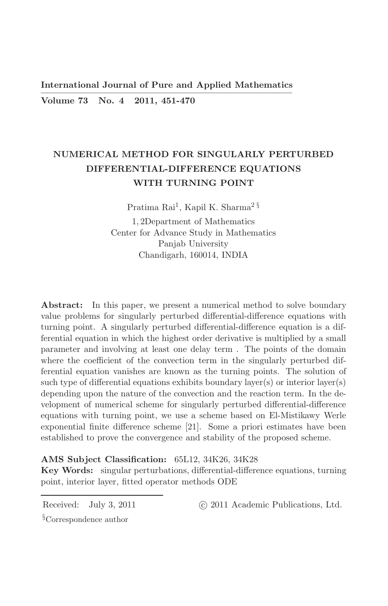**International Journal of Pure and Applied Mathematics** Volume 73 No. 4 2011, 451-470

# NUMERICAL METHOD FOR SINGULARLY PERTURBED DIFFERENTIAL-DIFFERENCE EQUATIONS WITH TURNING POINT

Pratima Rai<sup>1</sup>, Kapil K. Sharma<sup>2 §</sup>

1.2Department of Mathematics Center for Advance Study in Mathematics Panjab University Chandigarh, 160014, INDIA

**Abstract:** In this paper, we present a numerical method to solve boundary value problems for singularly perturbed differential-difference equations with turning point. A singularly perturbed differential-difference equation is a differential equation in which the highest order derivative is multiplied by a small parameter and involving at least one delay term. The points of the domain where the coefficient of the convection term in the singularly perturbed differential equation vanishes are known as the turning points. The solution of such type of differential equations exhibits boundary  $layer(s)$  or interior  $layer(s)$ depending upon the nature of the convection and the reaction term. In the development of numerical scheme for singularly perturbed differential-difference equations with turning point, we use a scheme based on El-Mistikawy Werle exponential finite difference scheme [21]. Some a priori estimates have been established to prove the convergence and stability of the proposed scheme.

## AMS Subject Classification: 65L12, 34K26, 34K28

**Key Words:** singular perturbations, differential-difference equations, turning point, interior layer, fitted operator methods ODE

Received: July 3, 2011  $\S$ Correspondence author

© 2011 Academic Publications, Ltd.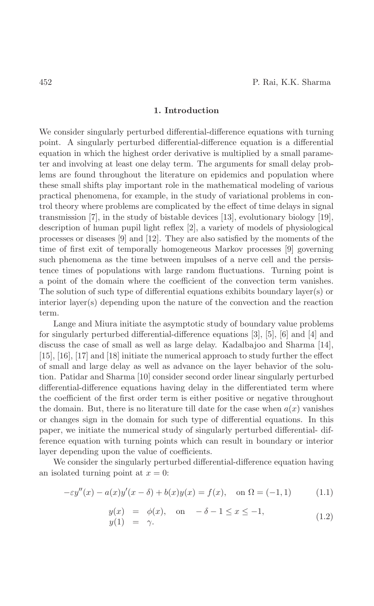## 1. Introduction

We consider singularly perturbed differential-difference equations with turning point. A singularly perturbed differential-difference equation is a differential equation in which the highest order derivative is multiplied by a small parameter and involving at least one delay term. The arguments for small delay problems are found throughout the literature on epidemics and population where these small shifts play important role in the mathematical modeling of various practical phenomena, for example, in the study of variational problems in control theory where problems are complicated by the effect of time delays in signal transmission [7], in the study of bistable devices [13], evolutionary biology [19], description of human pupil light reflex  $[2]$ , a variety of models of physiological processes or diseases  $[9]$  and  $[12]$ . They are also satisfied by the moments of the time of first exit of temporally homogeneous Markov processes [9] governing such phenomena as the time between impulses of a nerve cell and the persistence times of populations with large random fluctuations. Turning point is a point of the domain where the coefficient of the convection term vanishes. The solution of such type of differential equations exhibits boundary layer(s) or interior layer(s) depending upon the nature of the convection and the reaction term.

Lange and Miura initiate the asymptotic study of boundary value problems for singularly perturbed differential-difference equations [3], [5], [6] and [4] and discuss the case of small as well as large delay. Kadalbajoo and Sharma [14],  $[15]$ ,  $[16]$ ,  $[17]$  and  $[18]$  initiate the numerical approach to study further the effect of small and large delay as well as advance on the layer behavior of the solution. Patidar and Sharma [10] consider second order linear singularly perturbed differential-difference equations having delay in the differentiated term where the coefficient of the first order term is either positive or negative throughout the domain. But, there is no literature till date for the case when  $a(x)$  vanishes or changes sign in the domain for such type of differential equations. In this paper, we initiate the numerical study of singularly perturbed differential-difference equation with turning points which can result in boundary or interior layer depending upon the value of coefficients.

We consider the singularly perturbed differential-difference equation having an isolated turning point at  $x = 0$ :

$$
-\varepsilon y''(x) - a(x)y'(x - \delta) + b(x)y(x) = f(x), \text{ on } \Omega = (-1, 1)
$$
 (1.1)

$$
y(x) = \phi(x), \quad \text{on} \quad -\delta - 1 \le x \le -1,
$$
  

$$
y(1) = \gamma.
$$
 (1.2)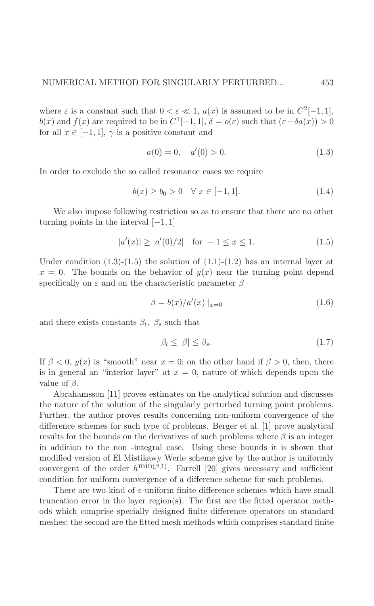where  $\varepsilon$  is a constant such that  $0 < \varepsilon \ll 1$ ,  $a(x)$  is assumed to be in  $C^2[-1,1]$ ,  $b(x)$  and  $f(x)$  are required to be in  $C^1[-1,1], \delta = o(\varepsilon)$  such that  $(\varepsilon - \delta a(x)) > 0$ for all  $x \in [-1,1], \gamma$  is a positive constant and

$$
a(0) = 0, \quad a'(0) > 0. \tag{1.3}
$$

In order to exclude the so called resonance cases we require

$$
b(x) \ge b_0 > 0 \quad \forall \ x \in [-1, 1]. \tag{1.4}
$$

We also impose following restriction so as to ensure that there are no other turning points in the interval  $[-1, 1]$ 

$$
|a'(x)| \ge |a'(0)/2| \quad \text{for } -1 \le x \le 1. \tag{1.5}
$$

Under condition  $(1.3)-(1.5)$  the solution of  $(1.1)-(1.2)$  has an internal layer at  $x = 0$ . The bounds on the behavior of  $y(x)$  near the turning point depend specifically on  $\varepsilon$  and on the characteristic parameter  $\beta$ 

$$
\beta = b(x)/a'(x) \mid_{x=0} \tag{1.6}
$$

and there exists constants  $\beta_l$ ,  $\beta_s$  such that

$$
\beta_l \le |\beta| \le \beta_s. \tag{1.7}
$$

If  $\beta < 0$ ,  $y(x)$  is "smooth" near  $x = 0$ ; on the other hand if  $\beta > 0$ , then, there is in general an "interior layer" at  $x = 0$ , nature of which depends upon the value of  $\beta$ .

Abrahamsson [11] proves estimates on the analytical solution and discusses the nature of the solution of the singularly perturbed turning point problems. Further, the author proves results concerning non-uniform convergence of the difference schemes for such type of problems. Berger et al. [1] prove analytical results for the bounds on the derivatives of such problems where  $\beta$  is an integer in addition to the non-integral case. Using these bounds it is shown that modified version of El Mistikawy Werle scheme give by the author is uniformly convergent of the order  $h^{\text{min}(\beta,1)}$ . Farrell [20] gives necessary and sufficient condition for uniform convergence of a difference scheme for such problems.

There are two kind of  $\varepsilon$ -uniform finite difference schemes which have small truncation error in the layer region(s). The first are the fitted operator methods which comprise specially designed finite difference operators on standard meshes; the second are the fitted mesh methods which comprises standard finite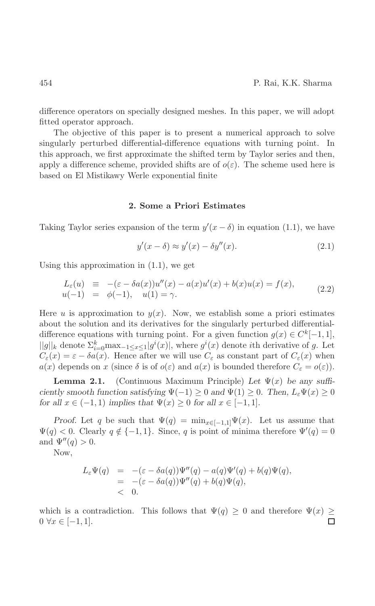difference operators on specially designed meshes. In this paper, we will adopt fitted operator approach.

The objective of this paper is to present a numerical approach to solve singularly perturbed differential-difference equations with turning point. In this approach, we first approximate the shifted term by Taylor series and then, apply a difference scheme, provided shifts are of  $o(\varepsilon)$ . The scheme used here is based on El Mistikawy Werle exponential finite

#### 2. Some a Priori Estimates

Taking Taylor series expansion of the term  $y'(x - \delta)$  in equation (1.1), we have

$$
y'(x - \delta) \approx y'(x) - \delta y''(x). \tag{2.1}
$$

Using this approximation in  $(1.1)$ , we get

$$
L_{\varepsilon}(u) \equiv -(\varepsilon - \delta a(x))u''(x) - a(x)u'(x) + b(x)u(x) = f(x),
$$
  
\n
$$
u(-1) = \phi(-1), \quad u(1) = \gamma.
$$
\n(2.2)

Here u is approximation to  $y(x)$ . Now, we establish some a priori estimates about the solution and its derivatives for the singularly perturbed differentialdifference equations with turning point. For a given function  $g(x) \in C^{k}[-1,1],$  $||g||_k$  denote  $\sum_{i=0}^k \max_{-1 \leq x \leq 1} |g^i(x)|$ , where  $g^i(x)$  denote *i*th derivative of g. Let  $C_{\varepsilon}(x) = \varepsilon - \delta a(x)$ . Hence after we will use  $C_{\varepsilon}$  as constant part of  $C_{\varepsilon}(x)$  when  $a(x)$  depends on x (since  $\delta$  is of  $o(\varepsilon)$  and  $a(x)$  is bounded therefore  $C_{\varepsilon} = o(\varepsilon)$ ).

(Continuous Maximum Principle) Let  $\Psi(x)$  be any suffi-Lemma  $2.1.$ ciently smooth function satisfying  $\Psi(-1) \geq 0$  and  $\Psi(1) \geq 0$ . Then,  $L_{\varepsilon} \Psi(x) \geq 0$ for all  $x \in (-1,1)$  implies that  $\Psi(x) \geq 0$  for all  $x \in [-1,1]$ .

*Proof.* Let q be such that  $\Psi(q) = \min_{x \in [-1,1]} \Psi(x)$ . Let us assume that  $\Psi(q) < 0$ . Clearly  $q \notin \{-1,1\}$ . Since, q is point of minima therefore  $\Psi'(q) = 0$ and  $\Psi''(q) > 0$ .

Now,

$$
L_{\varepsilon}\Psi(q) = -(\varepsilon - \delta a(q))\Psi''(q) - a(q)\Psi'(q) + b(q)\Psi(q),
$$
  
= -(\varepsilon - \delta a(q))\Psi''(q) + b(q)\Psi(q),  
< 0.

which is a contradiction. This follows that  $\Psi(q) \geq 0$  and therefore  $\Psi(x) \geq 0$  $0 \,\forall x \in [-1,1].$  $\Box$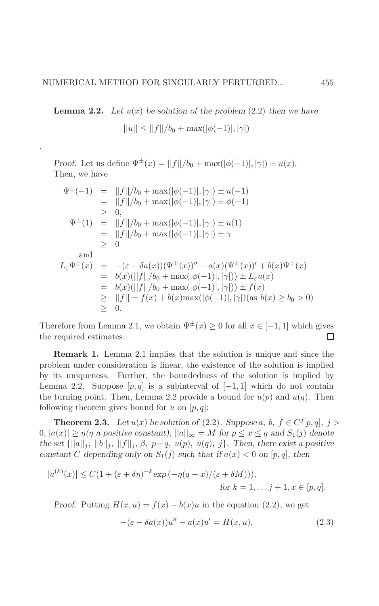**Lemma 2.2.** Let  $u(x)$  be solution of the problem (2.2) then we have

$$
||u|| \le ||f||/b_0 + \max(|\phi(-1)|, |\gamma|)
$$

*Proof.* Let us define  $\Psi^{\pm}(x) = ||f||/b_0 + \max(|\phi(-1)|, |\gamma|) \pm u(x)$ . Then, we have

$$
\Psi^{\pm}(-1) = ||f||/b_0 + \max(|\phi(-1)|, |\gamma|) \pm u(-1) \n= ||f||/b_0 + \max(|\phi(-1)|, |\gamma|) \pm \phi(-1) \n\geq 0, \n\Psi^{\pm}(1) = ||f||/b_0 + \max(|\phi(-1)|, |\gamma|) \pm u(1) \n= ||f||/b_0 + \max(|\phi(-1)|, |\gamma|) \pm \gamma \n\geq 0 \nand \nL_{\varepsilon} \Psi^{\pm}(x) = -(\varepsilon - \delta a(x)) (\Psi^{\pm}(x))'' - a(x) (\Psi^{\pm}(x))' + b(x) \Psi^{\pm}(x) \n= b(x)(||f||/b_0 + \max(|\phi(-1)|, |\gamma|)) \pm L_{\varepsilon} u(x) \n= b(x)(||f||/b_0 + \max(|\phi(-1)|, |\gamma|)) \pm f(x) \n\geq ||f|| \pm f(x) + b(x) \max(|\phi(-1)|, |\gamma|) (\text{as } b(x) \geq b_0 > 0) \n\geq 0.
$$

Therefore from Lemma 2.1, we obtain  $\Psi^{\pm}(x) \ge 0$  for all  $x \in [-1,1]$  which gives the required estimates.  $\Box$ 

**Remark 1.** Lemma 2.1 implies that the solution is unique and since the problem under consideration is linear, the existence of the solution is implied by its uniqueness. Further, the boundedness of the solution is implied by Lemma 2.2. Suppose  $[p,q]$  is a subinterval of  $[-1,1]$  which do not contain the turning point. Then, Lemma 2.2 provide a bound for  $u(p)$  and  $u(q)$ . Then following theorem gives bound for u on  $[p, q]$ :

**Theorem 2.3.** Let  $u(x)$  be solution of (2.2). Suppose a, b,  $f \in C^{j}[p,q], j >$  $|0, |a(x)| \geq \eta(\eta \text{ a positive constant}), ||a||_{\infty} = M \text{ for } p \leq x \leq q \text{ and } S_1(j) \text{ denote }$ the set  $\{||a||_j, ||b||_j, ||f||_j, \beta, p-q, u(p), u(q), j\}$ . Then, there exist a positive constant C depending only on  $S_1(j)$  such that if  $a(x) < 0$  on  $[p, q]$ , then

$$
|u^{(k)}(x)| \le C(1 + (\varepsilon + \delta \eta)^{-k} \exp(-\eta (q - x)/(\varepsilon + \delta M))),
$$
  
for  $k = 1, ..., j + 1, x \in [p, q].$ 

*Proof.* Putting  $H(x, u) = f(x) - b(x)u$  in the equation (2.2), we get

$$
-(\varepsilon - \delta a(x))u'' - a(x)u' = H(x, u), \qquad (2.3)
$$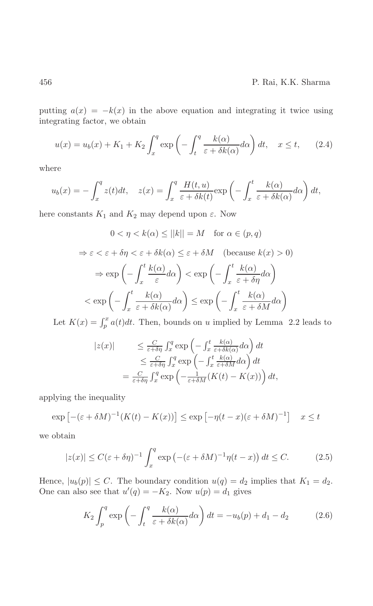putting  $a(x) = -k(x)$  in the above equation and integrating it twice using integrating factor, we obtain

$$
u(x) = u_b(x) + K_1 + K_2 \int_x^q \exp\left(-\int_t^q \frac{k(\alpha)}{\varepsilon + \delta k(\alpha)} d\alpha\right) dt, \quad x \le t,
$$
 (2.4)

where

$$
u_b(x) = -\int_x^q z(t)dt, \quad z(x) = \int_x^q \frac{H(t, u)}{\varepsilon + \delta k(t)} \exp\left(-\int_x^t \frac{k(\alpha)}{\varepsilon + \delta k(\alpha)} d\alpha\right) dt,
$$

here constants  $K_1$  and  $K_2$  may depend upon  $\varepsilon$ . Now

$$
0 < \eta < k(\alpha) \le ||k|| = M \quad \text{for } \alpha \in (p, q)
$$
\n
$$
\Rightarrow \varepsilon < \varepsilon + \delta\eta < \varepsilon + \delta k(\alpha) \le \varepsilon + \delta M \quad \text{(because } k(x) > 0)
$$
\n
$$
\Rightarrow \exp\left(-\int_x^t \frac{k(\alpha)}{\varepsilon} d\alpha\right) < \exp\left(-\int_x^t \frac{k(\alpha)}{\varepsilon + \delta\eta} d\alpha\right)
$$
\n
$$
\le \exp\left(-\int_x^t \frac{k(\alpha)}{\varepsilon + \delta k(\alpha)} d\alpha\right) \le \exp\left(-\int_x^t \frac{k(\alpha)}{\varepsilon + \delta M} d\alpha\right)
$$

Let  $K(x) = \int_p^x a(t)dt$ . Then, bounds on u implied by Lemma 2.2 leads to

$$
|z(x)| \leq \frac{C}{\varepsilon + \delta \eta} \int_x^q \exp\left(-\int_x^t \frac{k(\alpha)}{\varepsilon + \delta k(\alpha)} d\alpha\right) dt
$$
  

$$
\leq \frac{C}{\varepsilon + \delta \eta} \int_x^q \exp\left(-\int_x^t \frac{k(\alpha)}{\varepsilon + \delta M} d\alpha\right) dt
$$
  

$$
= \frac{C}{\varepsilon + \delta \eta} \int_x^q \exp\left(-\frac{1}{\varepsilon + \delta M}(K(t) - K(x))\right) dt,
$$

applying the inequality

$$
\exp\left[-(\varepsilon+\delta M)^{-1}(K(t)-K(x))\right] \leq \exp\left[-\eta(t-x)(\varepsilon+\delta M)^{-1}\right] \quad x \leq t
$$

we obtain

$$
|z(x)| \le C(\varepsilon + \delta \eta)^{-1} \int_x^q \exp\left(-(\varepsilon + \delta M)^{-1} \eta(t - x)\right) dt \le C. \tag{2.5}
$$

Hence,  $|u_b(p)| \leq C$ . The boundary condition  $u(q) = d_2$  implies that  $K_1 = d_2$ . One can also see that  $u'(q) = -K_2$ . Now  $u(p) = d_1$  gives

$$
K_2 \int_p^q \exp\left(-\int_t^q \frac{k(\alpha)}{\varepsilon + \delta k(\alpha)} d\alpha\right) dt = -u_b(p) + d_1 - d_2 \tag{2.6}
$$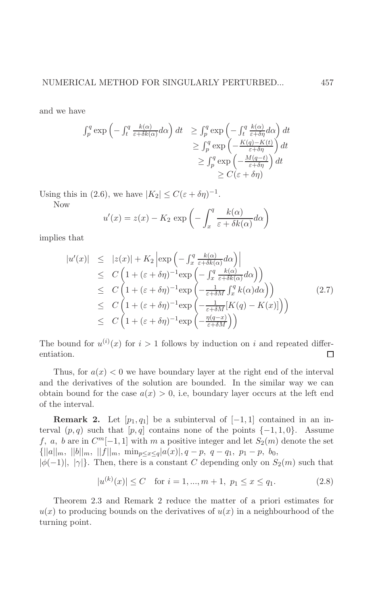and we have

$$
\int_{p}^{q} \exp\left(-\int_{t}^{q} \frac{k(\alpha)}{\varepsilon + \delta k(\alpha)} d\alpha\right) dt \ge \int_{p}^{q} \exp\left(-\int_{t}^{q} \frac{k(\alpha)}{\varepsilon + \delta \eta} d\alpha\right) dt
$$
  

$$
\ge \int_{p}^{q} \exp\left(-\frac{K(q) - K(t)}{\varepsilon + \delta \eta}\right) dt
$$
  

$$
\ge \int_{p}^{q} \exp\left(-\frac{M(q-t)}{\varepsilon + \delta \eta}\right) dt
$$
  

$$
\ge C(\varepsilon + \delta \eta)
$$

Using this in (2.6), we have  $|K_2| \leq C(\varepsilon + \delta \eta)^{-1}$ .

Now

$$
u'(x) = z(x) - K_2 \exp\left(-\int_x^q \frac{k(\alpha)}{\varepsilon + \delta k(\alpha)} d\alpha\right)
$$

implies that

$$
|u'(x)| \leq |z(x)| + K_2 \left| \exp\left(-\int_x^q \frac{k(\alpha)}{\varepsilon + \delta k(\alpha)} d\alpha\right) \right|
$$
  
\n
$$
\leq C \left(1 + (\varepsilon + \delta \eta)^{-1} \exp\left(-\int_x^q \frac{k(\alpha)}{\varepsilon + \delta k(\alpha)} d\alpha\right)\right)
$$
  
\n
$$
\leq C \left(1 + (\varepsilon + \delta \eta)^{-1} \exp\left(-\frac{1}{\varepsilon + \delta M} \int_x^q k(\alpha) d\alpha\right)\right)
$$
  
\n
$$
\leq C \left(1 + (\varepsilon + \delta \eta)^{-1} \exp\left(-\frac{1}{\varepsilon + \delta M} [K(q) - K(x)]\right)\right)
$$
  
\n
$$
\leq C \left(1 + (\varepsilon + \delta \eta)^{-1} \exp\left(-\frac{\eta(q - x)}{\varepsilon + \delta M}\right)\right)
$$
 (2.7)

The bound for  $u^{(i)}(x)$  for  $i > 1$  follows by induction on i and repeated differentiation.  $\Box$ 

Thus, for  $a(x) < 0$  we have boundary layer at the right end of the interval and the derivatives of the solution are bounded. In the similar way we can obtain bound for the case  $a(x) > 0$ , i.e., boundary layer occurs at the left end of the interval.

**Remark 2.** Let  $[p_1, q_1]$  be a subinterval of  $[-1, 1]$  contained in an interval  $(p,q)$  such that  $[p,q]$  contains none of the points  $\{-1,1,0\}$ . Assume f, a, b are in  $C^m[-1,1]$  with m a positive integer and let  $S_2(m)$  denote the set  $\{||a||_m, ||b||_m, ||f||_m, \min_{p \le x \le q} |a(x)|, q-p, q-q_1, p_1-p, b_0,$ 

 $|\phi(-1)|, |\gamma|$ . Then, there is a constant C depending only on  $S_2(m)$  such that

$$
|u^{(k)}(x)| \le C \quad \text{for } i = 1, ..., m+1, \ p_1 \le x \le q_1. \tag{2.8}
$$

Theorem 2.3 and Remark 2 reduce the matter of a priori estimates for  $u(x)$  to producing bounds on the derivatives of  $u(x)$  in a neighbourhood of the turning point.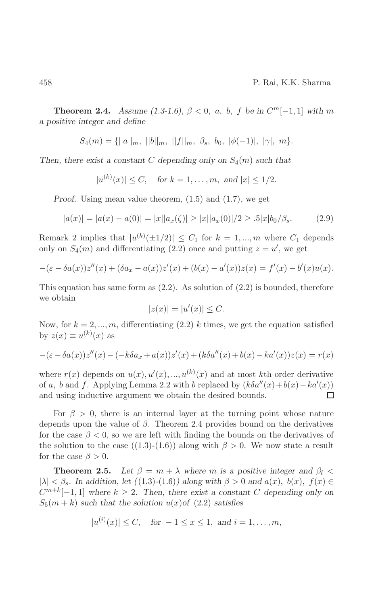**Theorem 2.4.** Assume (1.3-1.6),  $\beta < 0$ , a, b, f be in  $C^m[-1,1]$  with m a positive integer and define

$$
S_4(m) = \{ ||a||_m, ||b||_m, ||f||_m, \beta_s, b_0, |\phi(-1)|, |\gamma|, m \}.
$$

Then, there exist a constant C depending only on  $S_4(m)$  such that

$$
|u^{(k)}(x)| \leq C
$$
, for  $k = 1, ..., m$ , and  $|x| \leq 1/2$ .

*Proof.* Using mean value theorem,  $(1.5)$  and  $(1.7)$ , we get

$$
|a(x)| = |a(x) - a(0)| = |x||a_x(\zeta)| \ge |x||a_x(0)|/2 \ge .5|x|b_0/\beta_s. \tag{2.9}
$$

Remark 2 implies that  $|u^{(k)}(\pm 1/2)| \leq C_1$  for  $k = 1, ..., m$  where  $C_1$  depends only on  $S_4(m)$  and differentiating (2.2) once and putting  $z = u'$ , we get

$$
-(\varepsilon - \delta a(x))z''(x) + (\delta a_x - a(x))z'(x) + (b(x) - a'(x))z(x) = f'(x) - b'(x)u(x).
$$

This equation has same form as  $(2.2)$ . As solution of  $(2.2)$  is bounded, therefore we obtain

$$
|z(x)| = |u'(x)| \le C.
$$

Now, for  $k = 2, ..., m$ , differentiating (2.2) k times, we get the equation satisfied by  $z(x) \equiv u^{(k)}(x)$  as

$$
-(\varepsilon - \delta a(x))z''(x) - (-k\delta a_x + a(x))z'(x) + (k\delta a''(x) + b(x) - ka'(x))z(x) = r(x)
$$

where  $r(x)$  depends on  $u(x), u'(x), ..., u^{(k)}(x)$  and at most kth order derivative of a, b and f. Applying Lemma 2.2 with b replaced by  $(k\delta a''(x) + b(x) - ka'(x))$ and using inductive argument we obtain the desired bounds.  $\Box$ 

For  $\beta > 0$ , there is an internal layer at the turning point whose nature depends upon the value of  $\beta$ . Theorem 2.4 provides bound on the derivatives for the case  $\beta$  < 0, so we are left with finding the bounds on the derivatives of the solution to the case ((1.3)-(1.6)) along with  $\beta > 0$ . We now state a result for the case  $\beta > 0$ .

Let  $\beta = m + \lambda$  where m is a positive integer and  $\beta_l$ Theorem 2.5.  $|\lambda| < \beta_s$ . In addition, let  $((1.3)-(1.6))$  along with  $\beta > 0$  and  $a(x)$ ,  $b(x)$ ,  $f(x) \in$  $C^{m+k}[-1,1]$  where  $k \geq 2$ . Then, there exist a constant C depending only on  $S_5(m+k)$  such that the solution  $u(x)$  of (2.2) satisfies

$$
|u^{(i)}(x)| \leq C
$$
, for  $-1 \leq x \leq 1$ , and  $i = 1, ..., m$ ,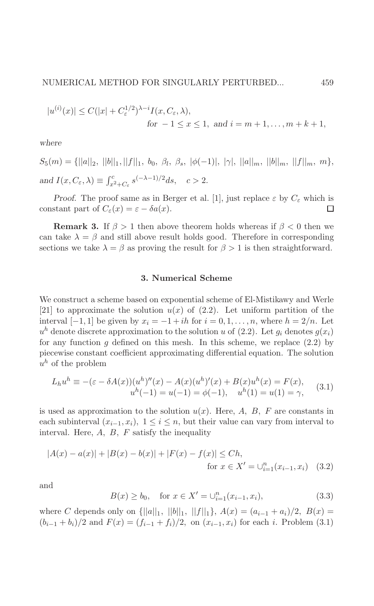$$
|u^{(i)}(x)| \le C(|x| + C_{\varepsilon}^{1/2})^{\lambda - i} I(x, C_{\varepsilon}, \lambda),
$$
  
for  $-1 \le x \le 1$ , and  $i = m + 1, ..., m + k + 1$ ,

where

 $S_5(m) = \{||a||_2, ||b||_1, ||f||_1, b_0, \beta_l, \beta_s, |\phi(-1)|, |\gamma|, ||a||_m, ||b||_m, ||f||_m, m\},\$ and  $I(x, C_{\varepsilon}, \lambda) \equiv \int_{x^2 + C_{\varepsilon}}^c s^{(-\lambda - 1)/2} ds, \quad c > 2.$ 

*Proof.* The proof same as in Berger et al. [1], just replace  $\varepsilon$  by  $C_{\varepsilon}$  which is constant part of  $C_{\varepsilon}(x) = \varepsilon - \delta a(x)$ .  $\Box$ 

**Remark 3.** If  $\beta > 1$  then above theorem holds whereas if  $\beta < 0$  then we can take  $\lambda = \beta$  and still above result holds good. Therefore in corresponding sections we take  $\lambda = \beta$  as proving the result for  $\beta > 1$  is then straightforward.

## 3. Numerical Scheme

We construct a scheme based on exponential scheme of El-Mistikawy and Werle [21] to approximate the solution  $u(x)$  of (2.2). Let uniform partition of the interval  $[-1, 1]$  be given by  $x_i = -1 + ih$  for  $i = 0, 1, ..., n$ , where  $h = 2/n$ . Let  $u^h$  denote discrete approximation to the solution u of (2.2). Let  $q_i$  denotes  $q(x_i)$ for any function  $q$  defined on this mesh. In this scheme, we replace  $(2.2)$  by piecewise constant coefficient approximating differential equation. The solution  $u^h$  of the problem

$$
L_h u^h \equiv -(\varepsilon - \delta A(x))(u^h)''(x) - A(x)(u^h)'(x) + B(x)u^h(x) = F(x),
$$
  
\n
$$
u^h(-1) = u(-1) = \phi(-1), \quad u^h(1) = u(1) = \gamma,
$$
\n(3.1)

is used as approximation to the solution  $u(x)$ . Here, A, B, F are constants in each subinterval  $(x_{i-1}, x_i)$ ,  $1 \leq i \leq n$ , but their value can vary from interval to interval. Here,  $A$ ,  $B$ ,  $F$  satisfy the inequality

$$
|A(x) - a(x)| + |B(x) - b(x)| + |F(x) - f(x)| \le Ch,
$$
  
for  $x \in X' = \bigcup_{i=1}^{n} (x_{i-1}, x_i)$  (3.2)

and

$$
B(x) \ge b_0, \quad \text{for } x \in X' = \bigcup_{i=1}^n (x_{i-1}, x_i), \tag{3.3}
$$

where C depends only on  $\{||a||_1, ||b||_1, ||f||_1\}$ ,  $A(x) = (a_{i-1} + a_i)/2$ ,  $B(x) =$  $(b_{i-1} + b_i)/2$  and  $F(x) = (f_{i-1} + f_i)/2$ , on  $(x_{i-1}, x_i)$  for each i. Problem (3.1)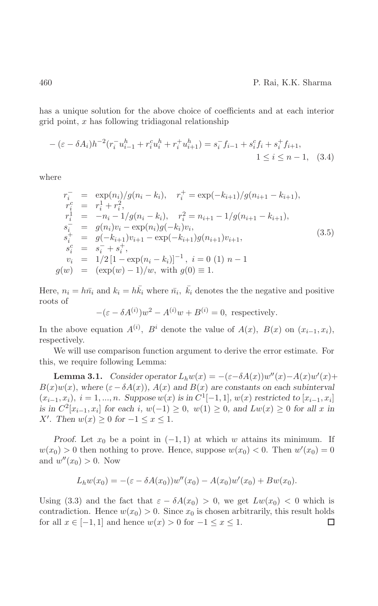has a unique solution for the above choice of coefficients and at each interior grid point,  $x$  has following tridiagonal relationship

$$
- (\varepsilon - \delta A_i) h^{-2} (r_i^- u_{i-1}^h + r_i^c u_i^h + r_i^+ u_{i+1}^h) = s_i^- f_{i-1} + s_i^c f_i + s_i^+ f_{i+1},
$$
  
  $1 \le i \le n - 1, \quad (3.4)$ 

where

$$
r_i^- = \exp(n_i)/g(n_i - k_i), \quad r_i^+ = \exp(-k_{i+1})/g(n_{i+1} - k_{i+1}),
$$
  
\n
$$
r_i^c = r_i^1 + r_i^2,
$$
  
\n
$$
r_i^1 = -n_i - 1/g(n_i - k_i), \quad r_i^2 = n_{i+1} - 1/g(n_{i+1} - k_{i+1}),
$$
  
\n
$$
s_i^- = g(n_i)v_i - \exp(n_i)g(-k_i)v_i,
$$
  
\n
$$
s_i^+ = g(-k_{i+1})v_{i+1} - \exp(-k_{i+1})g(n_{i+1})v_{i+1},
$$
  
\n
$$
s_i^c = s_i^- + s_i^+,
$$
  
\n
$$
v_i = 1/2[1 - \exp(n_i - k_i)]^{-1}, \quad i = 0 (1) n - 1
$$
  
\n
$$
g(w) = (\exp(w) - 1)/w, \text{ with } g(0) \equiv 1.
$$

Here,  $n_i = h\bar{n}_i$  and  $k_i = h\bar{k}_i$  where  $\bar{n}_i$ ,  $\bar{k}_i$  denotes the the negative and positive roots of

$$
-(\varepsilon - \delta A^{(i)})w^2 - A^{(i)}w + B^{(i)} = 0, \text{ respectively.}
$$

In the above equation  $A^{(i)}$ ,  $B^i$  denote the value of  $A(x)$ ,  $B(x)$  on  $(x_{i-1}, x_i)$ , respectively.

We will use comparison function argument to derive the error estimate. For this, we require following Lemma:

**Lemma 3.1.** Consider operator  $L_h w(x) = -(\varepsilon - \delta A(x))w''(x) - A(x)w'(x) +$  $B(x)w(x)$ , where  $(\varepsilon - \delta A(x))$ ,  $A(x)$  and  $B(x)$  are constants on each subinterval  $(x_{i-1}, x_i), i = 1, ..., n$ . Suppose  $w(x)$  is in  $C^1[-1, 1], w(x)$  restricted to  $[x_{i-1}, x_i]$ is in  $C^2[x_{i-1}, x_i]$  for each i,  $w(-1) \geq 0$ ,  $w(1) \geq 0$ , and  $Lw(x) \geq 0$  for all x in X'. Then  $w(x) \ge 0$  for  $-1 \le x \le 1$ .

*Proof.* Let  $x_0$  be a point in  $(-1,1)$  at which w attains its minimum. If  $w(x_0) > 0$  then nothing to prove. Hence, suppose  $w(x_0) < 0$ . Then  $w'(x_0) = 0$ and  $w''(x_0) > 0$ . Now

$$
L_h w(x_0) = -(\varepsilon - \delta A(x_0))w''(x_0) - A(x_0)w'(x_0) + Bw(x_0).
$$

Using (3.3) and the fact that  $\varepsilon - \delta A(x_0) > 0$ , we get  $Lw(x_0) < 0$  which is contradiction. Hence  $w(x_0) > 0$ . Since  $x_0$  is chosen arbitrarily, this result holds for all  $x \in [-1,1]$  and hence  $w(x) > 0$  for  $-1 \le x \le 1$ . □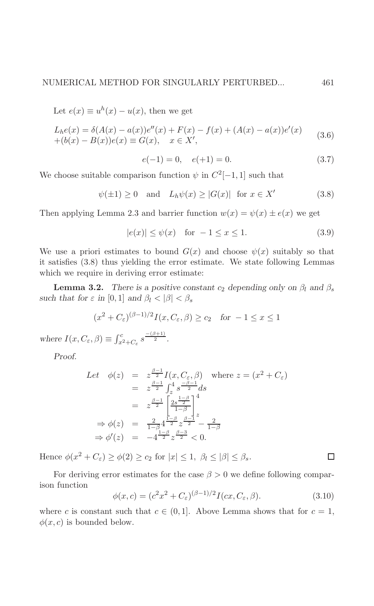Let 
$$
e(x) \equiv u^{h}(x) - u(x)
$$
, then we get  
\n
$$
L_{h}e(x) = \delta(A(x) - a(x))e''(x) + F(x) - f(x) + (A(x) - a(x))e'(x) + (b(x) - B(x))e(x) \equiv G(x), \quad x \in X',
$$
\n(3.6)

$$
e(-1) = 0, \quad e(+1) = 0. \tag{3.7}
$$

We choose suitable comparison function  $\psi$  in  $C^2[-1,1]$  such that

$$
\psi(\pm 1) \ge 0 \quad \text{and} \quad L_h \psi(x) \ge |G(x)| \quad \text{for } x \in X' \tag{3.8}
$$

Then applying Lemma 2.3 and barrier function  $w(x) = \psi(x) \pm e(x)$  we get

$$
|e(x)| \le \psi(x) \quad \text{for } -1 \le x \le 1. \tag{3.9}
$$

We use a priori estimates to bound  $G(x)$  and choose  $\psi(x)$  suitably so that it satisfies  $(3.8)$  thus yielding the error estimate. We state following Lemmas which we require in deriving error estimate:

**Lemma 3.2.** There is a positive constant  $c_2$  depending only on  $\beta_l$  and  $\beta_s$ such that for  $\varepsilon$  in [0, 1] and  $\beta_l < |\beta| < \beta_s$ 

$$
(x^2 + C_{\varepsilon})^{(\beta - 1)/2} I(x, C_{\varepsilon}, \beta) \ge c_2 \quad \text{for } -1 \le x \le 1
$$

where  $I(x, C_{\varepsilon}, \beta) \equiv \int_{x^2 + C_{\varepsilon}}^c s^{\frac{-(\beta+1)}{2}}$ .

Proof.

Let 
$$
\phi(z) = z^{\frac{\beta-1}{2}} I(x, C_{\varepsilon}, \beta)
$$
 where  $z = (x^2 + C_{\varepsilon})$   
\t\t\t $= z^{\frac{\beta-1}{2}} \int_z^4 s^{\frac{-\beta-1}{2}} ds$   
\t\t\t $= z^{\frac{\beta-1}{2}} \left[ \frac{2s^{\frac{1-\beta}{2}}}{1-\beta} \right]_z^4$   
\t\t\t $\Rightarrow \phi(z) = \frac{2}{1-\beta} 4^{\frac{1-\beta}{2}} z^{\frac{\beta-1}{2}} - \frac{2}{1-\beta}$   
\t\t\t $\Rightarrow \phi'(z) = -4^{\frac{1-\beta}{2}} z^{\frac{\beta-3}{2}} < 0.$ 

Hence  $\phi(x^2 + C_{\varepsilon}) \ge \phi(2) \ge c_2$  for  $|x| \le 1$ ,  $\beta_l \le |\beta| \le \beta_s$ .

For deriving error estimates for the case  $\beta > 0$  we define following comparison function

$$
\phi(x,c) = (c^2 x^2 + C_{\varepsilon})^{(\beta - 1)/2} I(cx, C_{\varepsilon}, \beta).
$$
\n(3.10)

where c is constant such that  $c \in (0,1]$ . Above Lemma shows that for  $c = 1$ ,  $\phi(x, c)$  is bounded below.

 $\Box$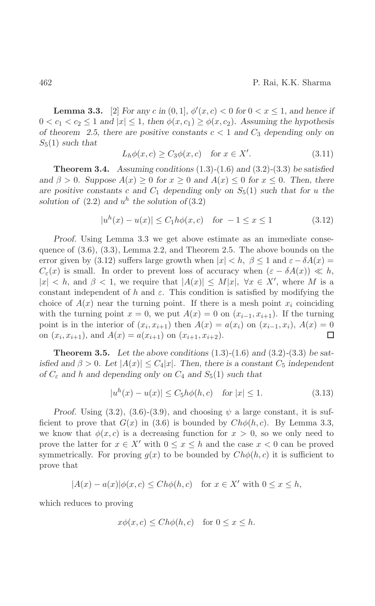**Lemma 3.3.** [2] For any c in  $(0, 1]$ ,  $\phi'(x, c) < 0$  for  $0 < x \leq 1$ , and hence if  $0 < c_1 < c_2 \leq 1$  and  $|x| \leq 1$ , then  $\phi(x, c_1) \geq \phi(x, c_2)$ . Assuming the hypothesis of theorem 2.5, there are positive constants  $c < 1$  and  $C_3$  depending only on  $S_5(1)$  such that

$$
L_h \phi(x, c) \ge C_3 \phi(x, c) \quad \text{for } x \in X'. \tag{3.11}
$$

**Theorem 3.4.** Assuming conditions  $(1.3)-(1.6)$  and  $(3.2)-(3.3)$  be satisfied and  $\beta > 0$ . Suppose  $A(x) \ge 0$  for  $x \ge 0$  and  $A(x) \le 0$  for  $x \le 0$ . Then, there are positive constants c and  $C_1$  depending only on  $S_5(1)$  such that for u the solution of  $(2.2)$  and  $u^h$  the solution of  $(3.2)$ 

$$
|u^{h}(x) - u(x)| \le C_1 h\phi(x, c) \quad \text{for } -1 \le x \le 1 \tag{3.12}
$$

Proof. Using Lemma 3.3 we get above estimate as an immediate consequence of  $(3.6)$ ,  $(3.3)$ , Lemma 2.2, and Theorem 2.5. The above bounds on the error given by (3.12) suffers large growth when  $|x| < h$ ,  $\beta \le 1$  and  $\varepsilon - \delta A(x) =$  $C_{\varepsilon}(x)$  is small. In order to prevent loss of accuracy when  $(\varepsilon - \delta A(x)) \ll h$ ,  $|x| < h$ , and  $\beta < 1$ , we require that  $|A(x)| \le M|x|$ ,  $\forall x \in X'$ , where M is a constant independent of h and  $\varepsilon$ . This condition is satisfied by modifying the choice of  $A(x)$  near the turning point. If there is a mesh point  $x_i$  coinciding with the turning point  $x = 0$ , we put  $A(x) = 0$  on  $(x_{i-1}, x_{i+1})$ . If the turning point is in the interior of  $(x_i, x_{i+1})$  then  $A(x) = a(x_i)$  on  $(x_{i-1}, x_i)$ ,  $A(x) = 0$ on  $(x_i, x_{i+1})$ , and  $A(x) = a(x_{i+1})$  on  $(x_{i+1}, x_{i+2})$ . □

**Theorem 3.5.** Let the above conditions  $(1.3)-(1.6)$  and  $(3.2)-(3.3)$  be satisfied and  $\beta > 0$ . Let  $|A(x)| \leq C_4|x|$ . Then, there is a constant  $C_5$  independent of  $C_{\varepsilon}$  and h and depending only on  $C_4$  and  $S_5(1)$  such that

$$
|u^{h}(x) - u(x)| \le C_5 h\phi(h, c) \quad \text{for } |x| \le 1.
$$
 (3.13)

Proof. Using (3.2), (3.6)-(3.9), and choosing  $\psi$  a large constant, it is sufficient to prove that  $G(x)$  in (3.6) is bounded by  $Ch\phi(h, c)$ . By Lemma 3.3, we know that  $\phi(x, c)$  is a decreasing function for  $x > 0$ , so we only need to prove the latter for  $x \in X'$  with  $0 \le x \le h$  and the case  $x < 0$  can be proved symmetrically. For proving  $g(x)$  to be bounded by  $Ch\phi(h,c)$  it is sufficient to prove that

$$
|A(x) - a(x)|\phi(x, c) \le Ch\phi(h, c) \quad \text{for } x \in X' \text{ with } 0 \le x \le h,
$$

which reduces to proving

$$
x\phi(x,c) \le Ch\phi(h,c) \quad \text{for } 0 \le x \le h.
$$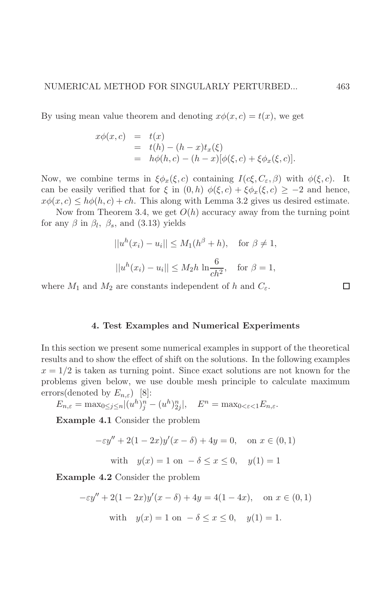By using mean value theorem and denoting  $x\phi(x,c) = t(x)$ , we get

$$
x\phi(x, c) = t(x)
$$
  
= t(h) - (h - x)t<sub>x</sub>( $\xi$ )  
= h\phi(h, c) - (h - x)[ $\phi(\xi, c)$  +  $\xi\phi_x(\xi, c)$ ].

Now, we combine terms in  $\xi \phi_x(\xi, c)$  containing  $I(c\xi, C_\varepsilon, \beta)$  with  $\phi(\xi, c)$ . It can be easily verified that for  $\xi$  in  $(0,h)$   $\phi(\xi,c) + \xi \phi_x(\xi,c) \geq -2$  and hence,  $x\phi(x,c) \leq h\phi(h,c) + ch$ . This along with Lemma 3.2 gives us desired estimate.

Now from Theorem 3.4, we get  $O(h)$  accuracy away from the turning point for any  $\beta$  in  $\beta_l$ ,  $\beta_s$ , and (3.13) yields

$$
||uh(xi) - ui|| \le M1(h\beta + h), \text{ for } \beta \ne 1,
$$
  

$$
||uh(xi) - ui|| \le M2h \ln \frac{6}{ch2}, \text{ for } \beta = 1,
$$

where  $M_1$  and  $M_2$  are constants independent of h and  $C_{\varepsilon}$ .

#### 4. Test Examples and Numerical Experiments

In this section we present some numerical examples in support of the theoretical results and to show the effect of shift on the solutions. In the following examples  $x = 1/2$  is taken as turning point. Since exact solutions are not known for the problems given below, we use double mesh principle to calculate maximum errors(denoted by  $E_{n,\varepsilon}$ ) [8]:

$$
E_{n,\varepsilon} = \max_{0 \le j \le n} |(u^h)_j^n - (u^h)_{2j}^n|, \quad E^n = \max_{0 < \varepsilon < 1} E_{n,\varepsilon}.
$$

**Example 4.1** Consider the problem

$$
-\varepsilon y'' + 2(1 - 2x)y'(x - \delta) + 4y = 0, \text{ on } x \in (0, 1)
$$

with  $y(x) = 1$  on  $-\delta \le x \le 0$ ,  $y(1) = 1$ 

**Example 4.2** Consider the problem

$$
-\varepsilon y'' + 2(1 - 2x)y'(x - \delta) + 4y = 4(1 - 4x), \text{ on } x \in (0, 1)
$$
  
with  $y(x) = 1$  on  $-\delta \le x \le 0$ ,  $y(1) = 1$ .

 $\Box$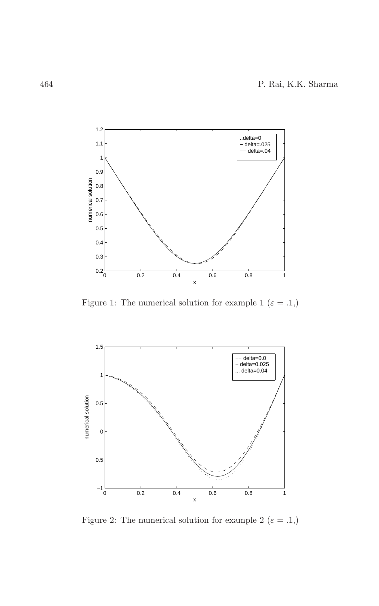

Figure 1: The numerical solution for example 1  $(\varepsilon=.1,)$ 



Figure 2: The numerical solution for example 2  $(\varepsilon=.1,)$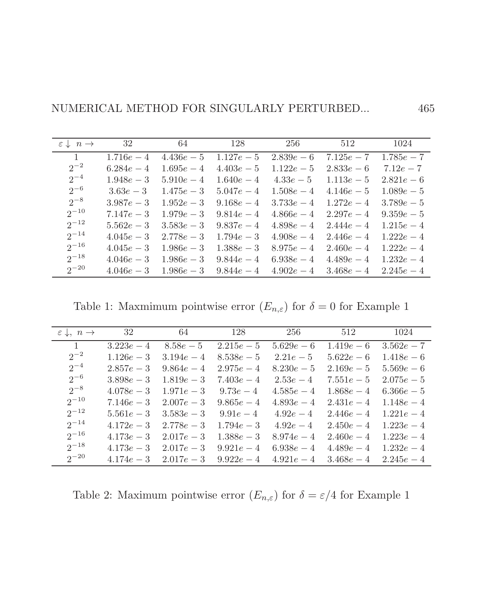| $\varepsilon \downarrow n \rightarrow$ | 32           | 64           | 128          | 256          | 512          | 1024         |
|----------------------------------------|--------------|--------------|--------------|--------------|--------------|--------------|
| $\mathbf{1}$                           | $1.716e - 4$ | $4.436e-5$   | $1.127e - 5$ | $2.839e-6$   | $7.125e - 7$ | $1.785e - 7$ |
| $2^{-2}$                               | $6.284e - 4$ | $1.695e - 4$ | $4.403e-5$   | $1.122e - 5$ | $2.833e-6$   | $7.12e - 7$  |
| $2^{-4}$                               | $1.948e - 3$ | $5.910e - 4$ | $1.640e - 4$ | $4.33e-5$    | $1.113e-5$   | $2.821e-6$   |
| $2^{-6}$                               | $3.63e - 3$  | $1.475e - 3$ | $5.047e - 4$ | $1.508e - 4$ | $4.146e - 5$ | $1.089e - 5$ |
| $2^{-8}$                               | $3.987e - 3$ | $1.952e - 3$ | $9.168e - 4$ | $3.733e - 4$ | $1.272e - 4$ | $3.789e - 5$ |
| $2^{-10}$                              | $7.147e - 3$ | $1.979e - 3$ | $9.814e - 4$ | $4.866e - 4$ | $2.297e - 4$ | $9.359e - 5$ |
| $2^{-12}$                              | $5.562e - 3$ | $3.583e - 3$ | $9.837e - 4$ | $4.898e-4$   | $2.444e - 4$ | $1.215e - 4$ |
| $2^{-14}$                              | $4.045e - 3$ | $2.778e - 3$ | $1.794e - 3$ | $4.908e-4$   | $2.446e - 4$ | $1.222e - 4$ |
| $2^{-16}$                              | $4.045e - 3$ | $1.986e - 3$ | $1.388e - 3$ | $8.975e - 4$ | $2.460e - 4$ | $1.222e - 4$ |
| $2^{-18}$                              | $4.046e - 3$ | $1.986e - 3$ | $9.844e - 4$ | $6.938e - 4$ | $4.489e - 4$ | $1.232e - 4$ |
| $2^{-20}$                              | $4.046e - 3$ | $1.986e - 3$ | $9.844e - 4$ | $4.902e - 4$ | $3.468e - 4$ | $2.245e - 4$ |

Table 1: Maxmimum pointwise error  $(E_{n,\varepsilon})$  for  $\delta=0$  for Example 1

| $\varepsilon \downarrow$ , $n \rightarrow$ | 32           | 64           | 128          | 256          | 512          | 1024         |
|--------------------------------------------|--------------|--------------|--------------|--------------|--------------|--------------|
| $\overline{1}$                             | $3.223e - 4$ | $8.58e - 5$  | $2.215e-5$   | $5.629e - 6$ | $1.419e-6$   | $3.562e - 7$ |
| $2^{-2}$                                   | $1.126e - 3$ | $3.194e - 4$ | $8.538e-5$   | $2.21e-5$    | $5.622e - 6$ | $1.418e-6$   |
| $2^{-4}$                                   | $2.857e - 3$ | $9.864e - 4$ | $2.975e - 4$ | $8.230e - 5$ | $2.169e - 5$ | $5.569e - 6$ |
| $2^{-6}$                                   | $3.898e - 3$ | $1.819e - 3$ | $7.403e - 4$ | $2.53e-4$    | $7.551e - 5$ | $2.075e-5$   |
| $2^{-8}$                                   | $4.078e - 3$ | $1.971e - 3$ | $9.73e - 4$  | $4.585e-4$   | $1.868e - 4$ | $6.366e-5$   |
| $2^{-10}$                                  | $7.146e - 3$ | $2.007e - 3$ | $9.865e - 4$ | $4.893e-4$   | $2.431e - 4$ | $1.148e - 4$ |
| $2^{-12}$                                  | $5.561e - 3$ | $3.583e - 3$ | $9.91e - 4$  | $4.92e - 4$  | $2.446e - 4$ | $1.221e-4$   |
| $2^{-14}$                                  | $4.172e - 3$ | $2.778e - 3$ | $1.794e - 3$ | $4.92e - 4$  | $2.450e - 4$ | $1.223e - 4$ |
| $2^{-16}$                                  | $4.173e - 3$ | $2.017e - 3$ | $1.388e - 3$ | $8.974e - 4$ | $2.460e - 4$ | $1.223e - 4$ |
| $2^{-18}$                                  | $4.173e - 3$ | $2.017e - 3$ | $9.921e - 4$ | $6.938e - 4$ | $4.489e - 4$ | $1.232e - 4$ |
| $2^{-20}$                                  | $4.174e - 3$ | $2.017e - 3$ | $9.922e - 4$ | $4.921e-4$   | $3.468e - 4$ | $2.245e - 4$ |

Table 2: Maximum pointwise error  $(E_{n,\varepsilon})$  for  $\delta = \varepsilon/4$  for Example 1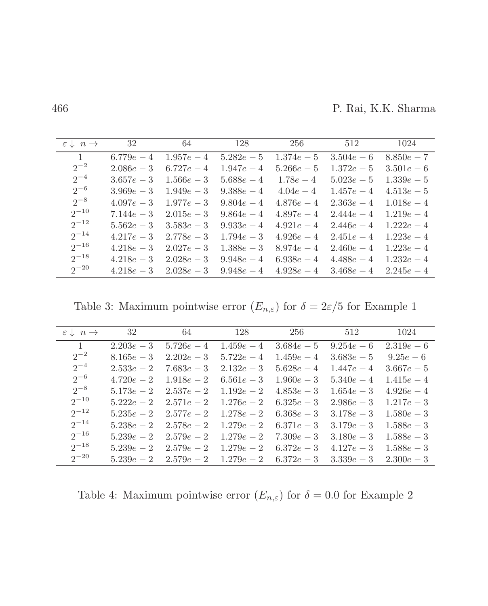P. Rai, K.K. Sharma

| $\varepsilon \downarrow n \rightarrow$ | 32           | 64           | 128          | 256          | 512          | 1024         |
|----------------------------------------|--------------|--------------|--------------|--------------|--------------|--------------|
| $\mathbf{1}$                           | $6.779e - 4$ | $1.957e - 4$ | $5.282e - 5$ | $1.374e - 5$ | $3.504e - 6$ | $8.850e - 7$ |
| $2^{-2}$                               | $2.086e - 3$ | $6.727e - 4$ | $1.947e - 4$ | $5.266e - 5$ | $1.372e - 5$ | $3.501e-6$   |
| $2^{-4}$                               | $3.657e - 3$ | $1.566e - 3$ | $5.688e - 4$ | $1.78e - 4$  | $5.023e - 5$ | $1.339e - 5$ |
| $2^{-6}$                               | $3.969e - 3$ | $1.949e - 3$ | $9.388e - 4$ | $4.04e - 4$  | $1.457e - 4$ | $4.513e-5$   |
| $2^{-8}$                               | $4.097e - 3$ | $1.977e - 3$ | $9.804e - 4$ | $4.876e - 4$ | $2.363e - 4$ | $1.018e - 4$ |
| $2^{-10}$                              | $7.144e - 3$ | $2.015e - 3$ | $9.864e - 4$ | $4.897e - 4$ | $2.444e - 4$ | $1.219e - 4$ |
| $2^{-12}$                              | $5.562e - 3$ | $3.583e - 3$ | $9.933e - 4$ | $4.921e - 4$ | $2.446e - 4$ | $1.222e - 4$ |
| $2^{-14}$                              | $4.217e - 3$ | $2.778e - 3$ | $1.794e - 3$ | $4.926e - 4$ | $2.451e - 4$ | $1.223e - 4$ |
| $2^{-16}$                              | $4.218e - 3$ | $2.027e - 3$ | $1.388e - 3$ | $8.974e - 4$ | $2.460e - 4$ | $1.223e - 4$ |
| $2^{-18}$                              | $4.218e - 3$ | $2.028e - 3$ | $9.948e - 4$ | $6.938e - 4$ | $4.488e - 4$ | $1.232e - 4$ |
| $2^{-20}$                              | $4.218e - 3$ | $2.028e - 3$ | $9.948e - 4$ | $4.928e - 4$ | $3.468e - 4$ | $2.245e - 4$ |

Table 3: Maximum pointwise error  $(E_{n,\varepsilon})$  for  $\delta=2\varepsilon/5$  for Example 1

| $\varepsilon \downarrow n \rightarrow$ | 32           | 64           | 128          | 256          | 512          | 1024         |
|----------------------------------------|--------------|--------------|--------------|--------------|--------------|--------------|
| $\overline{1}$                         | $2.203e - 3$ | $5.726e - 4$ | $1.459e - 4$ | $3.684e - 5$ | $9.254e - 6$ | $2.319e-6$   |
| $2^{-2}$                               | $8.165e - 3$ | $2.202e - 3$ | $5.722e - 4$ | $1.459e - 4$ | $3.683e - 5$ | $9.25e-6$    |
| $2^{-4}$                               | $2.533e - 2$ | $7.683e - 3$ | $2.132e - 3$ | $5.628e-4$   | $1.447e - 4$ | $3.667e - 5$ |
| $2^{-6}$                               | $4.720e - 2$ | $1.918e - 2$ | $6.561e - 3$ | $1.960e - 3$ | $5.340e - 4$ | $1.415e-4$   |
| $2^{-8}$                               | $5.173e - 2$ | $2.537e - 2$ | $1.192e - 2$ | $4.853e - 3$ | $1.654e - 3$ | $4.926e - 4$ |
| $2^{-10}$                              | $5.222e - 2$ | $2.571e - 2$ | $1.276e - 2$ | $6.325e - 3$ | $2.986e - 3$ | $1.217e - 3$ |
| $2^{-12}$                              | $5.235e - 2$ | $2.577e - 2$ | $1.278e - 2$ | $6.368e - 3$ | $3.178e - 3$ | $1.580e - 3$ |
| $2^{-14}$                              | $5.238e - 2$ | $2.578e - 2$ | $1.279e - 2$ | $6.371e - 3$ | $3.179e - 3$ | $1.588e - 3$ |
| $2^{-16}$                              | $5.239e - 2$ | $2.579e - 2$ | $1.279e - 2$ | $7.309e - 3$ | $3.180e - 3$ | $1.588e - 3$ |
| $2^{-18}$                              | $5.239e - 2$ | $2.579e - 2$ | $1.279e - 2$ | $6.372e - 3$ | $4.127e - 3$ | $1.588e - 3$ |
| $2^{-20}$                              | $5.239e - 2$ | $2.579e - 2$ | $1.279e - 2$ | $6.372e - 3$ | $3.339e - 3$ | $2.300e - 3$ |

Table 4: Maximum pointwise error  $(E_{n,\varepsilon})$  for  $\delta=0.0$  for Example 2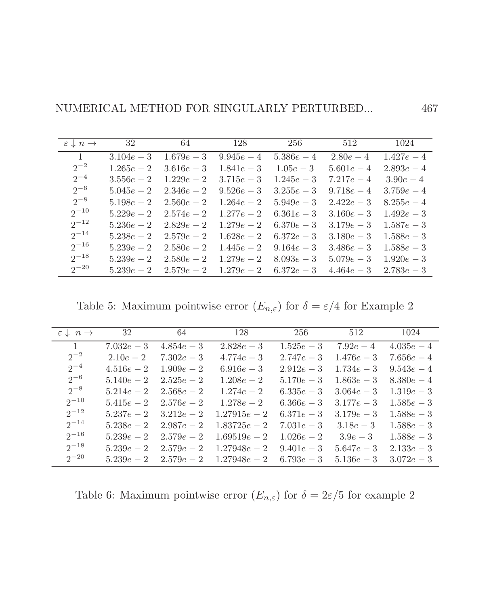| $\varepsilon \downarrow n \rightarrow$ | 32           | 64           | 128          | 256          | 512          | 1024         |
|----------------------------------------|--------------|--------------|--------------|--------------|--------------|--------------|
| $\mathbf{1}$                           | $3.104e - 3$ | $1.679e - 3$ | $9.945e - 4$ | $5.386e - 4$ | $2.80e - 4$  | $1.427e - 4$ |
| $2^{-2}$                               | $1.265e - 2$ | $3.616e - 3$ | $1.841e - 3$ | $1.05e - 3$  | $5.601e - 4$ | $2.893e - 4$ |
| $2^{-4}$                               | $3.556e - 2$ | $1.229e - 2$ | $3.715e - 3$ | $1.245e - 3$ | $7.217e - 4$ | $3.90e - 4$  |
| $2^{-6}$                               | $5.045e - 2$ | $2.346e - 2$ | $9.526e - 3$ | $3.255e - 3$ | $9.718e - 4$ | $3.759e - 4$ |
| $2^{-8}$                               | $5.198e - 2$ | $2.560e - 2$ | $1.264e - 2$ | $5.949e - 3$ | $2.422e - 3$ | $8.255e - 4$ |
| $2^{-10}$                              | $5.229e - 2$ | $2.574e - 2$ | $1.277e - 2$ | $6.361e - 3$ | $3.160e - 3$ | $1.492e - 3$ |
| $2^{-12}$                              | $5.236e - 2$ | $2.829e - 2$ | $1.279e - 2$ | $6.370e - 3$ | $3.179e - 3$ | $1.587e - 3$ |
| $2^{-14}$                              | $5.238e - 2$ | $2.579e - 2$ | $1.628e - 2$ | $6.372e - 3$ | $3.180e - 3$ | $1.588e - 3$ |
| $2^{-16}$                              | $5.239e - 2$ | $2.580e - 2$ | $1.445e - 2$ | $9.164e - 3$ | $3.486e - 3$ | $1.588e - 3$ |
| $2^{-18}$                              | $5.239e - 2$ | $2.580e - 2$ | $1.279e - 2$ | $8.093e - 3$ | $5.079e - 3$ | $1.920e - 3$ |
| $2^{-20}$                              | $5.239e - 2$ | $2.579e - 2$ | $1.279e - 2$ | $6.372e - 3$ | $4.464e - 3$ | $2.783e - 3$ |

Table 5: Maximum pointwise error  $(E_{n,\varepsilon})$  for  $\delta=\varepsilon/4$  for Example 2

| $\varepsilon \downarrow n \rightarrow$ | 32           | 64           | 128            | 256          | 512          | 1024         |
|----------------------------------------|--------------|--------------|----------------|--------------|--------------|--------------|
| $\overline{1}$                         | $7.032e - 3$ | $4.854e - 3$ | $2.828e - 3$   | $1.525e - 3$ | $7.92e - 4$  | $4.035e-4$   |
| $2^{-2}$                               | $2.10e - 2$  | $7.302e - 3$ | $4.774e - 3$   | $2.747e - 3$ | $1.476e - 3$ | $7.656e - 4$ |
| $2^{-4}$                               | $4.516e - 2$ | $1.909e - 2$ | $6.916e - 3$   | $2.912e - 3$ | $1.734e - 3$ | $9.543e - 4$ |
| $2^{-6}$                               | $5.140e - 2$ | $2.525e - 2$ | $1.208e - 2$   | $5.170e - 3$ | $1.863e - 3$ | $8.380e - 4$ |
| $2^{-8}$                               | $5.214e - 2$ | $2.568e - 2$ | $1.274e - 2$   | $6.335e - 3$ | $3.064e - 3$ | $1.319e - 3$ |
| $2^{-10}$                              | $5.415e - 2$ | $2.576e - 2$ | $1.278e - 2$   | $6.366e - 3$ | $3.177e - 3$ | $1.585e - 3$ |
| $2^{-12}$                              | $5.237e - 2$ | $3.212e - 2$ | $1.27915e - 2$ | $6.371e-3$   | $3.179e - 3$ | $1.588e - 3$ |
| $2^{-14}$                              | $5.238e - 2$ | $2.987e - 2$ | $1.83725e - 2$ | $7.031e - 3$ | $3.18e - 3$  | $1.588e - 3$ |
| $2^{-16}$                              | $5.239e - 2$ | $2.579e - 2$ | $1.69519e - 2$ | $1.026e - 2$ | $3.9e - 3$   | $1.588e - 3$ |
| $2^{-18}$                              | $5.239e - 2$ | $2.579e - 2$ | $1.27948e - 2$ | $9.401e - 3$ | $5.647e - 3$ | $2.133e - 3$ |
| $2^{-20}$                              | $5.239e - 2$ | $2.579e - 2$ | $1.27948e - 2$ | $6.793e - 3$ | $5.136e - 3$ | $3.072e - 3$ |

Table 6: Maximum pointwise error  $(E_{n,\varepsilon})$  for  $\delta=2\varepsilon/5$  for example  $2$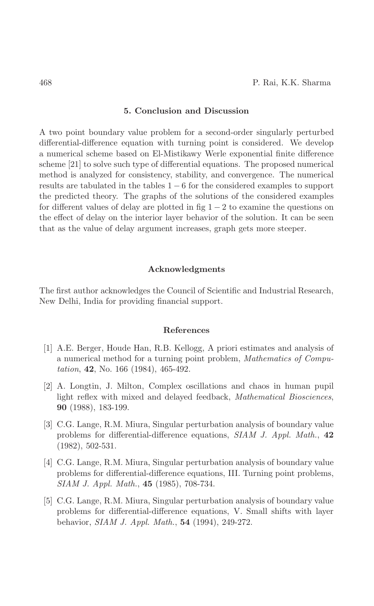## 5. Conclusion and Discussion

A two point boundary value problem for a second-order singularly perturbed differential-difference equation with turning point is considered. We develop a numerical scheme based on El-Mistikawy Werle exponential finite difference scheme  $[21]$  to solve such type of differential equations. The proposed numerical method is analyzed for consistency, stability, and convergence. The numerical results are tabulated in the tables  $1-6$  for the considered examples to support the predicted theory. The graphs of the solutions of the considered examples for different values of delay are plotted in fig  $1-2$  to examine the questions on the effect of delay on the interior layer behavior of the solution. It can be seen that as the value of delay argument increases, graph gets more steeper.

#### Acknowledgments

The first author acknowledges the Council of Scientific and Industrial Research, New Delhi, India for providing financial support.

#### References

- [1] A.E. Berger, Houde Han, R.B. Kellogg, A priori estimates and analysis of a numerical method for a turning point problem, Mathematics of Compu*tation*, **42**, No. 166 (1984), 465-492.
- [2] A. Longtin, J. Milton, Complex oscillations and chaos in human pupil light reflex with mixed and delayed feedback, *Mathematical Biosciences*, 90 (1988), 183-199.
- [3] C.G. Lange, R.M. Miura, Singular perturbation analysis of boundary value problems for differential-difference equations, SIAM J. Appl. Math., 42  $(1982), 502-531.$
- [4] C.G. Lange, R.M. Miura, Singular perturbation analysis of boundary value problems for differential-difference equations, III. Turning point problems, SIAM J. Appl. Math., 45 (1985), 708-734.
- [5] C.G. Lange, R.M. Miura, Singular perturbation analysis of boundary value problems for differential-difference equations, V. Small shifts with layer behavior, SIAM J. Appl. Math., 54 (1994), 249-272.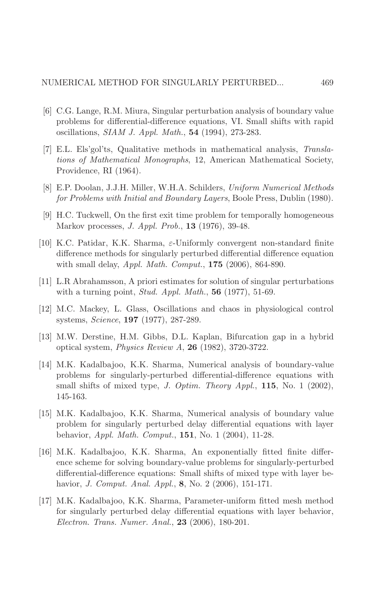- [6] C.G. Lange, R.M. Miura, Singular perturbation analysis of boundary value problems for differential-difference equations, VI. Small shifts with rapid oscillations, *SIAM J. Appl. Math.*, **54** (1994), 273-283.
- [7] E.L. Els'gol'ts, Qualitative methods in mathematical analysis, Translations of Mathematical Monographs, 12, American Mathematical Society, Providence, RI (1964).
- [8] E.P. Doolan, J.J.H. Miller, W.H.A. Schilders, Uniform Numerical Methods for Problems with Initial and Boundary Layers, Boole Press, Dublin (1980).
- [9] H.C. Tuckwell, On the first exit time problem for temporally homogeneous Markov processes, *J. Appl. Prob.*, **13** (1976), 39-48.
- [10] K.C. Patidar, K.K. Sharma,  $\varepsilon$ -Uniformly convergent non-standard finite difference methods for singularly perturbed differential difference equation with small delay, *Appl. Math. Comput.*,  $175$  (2006), 864-890.
- [11] L.R. Abrahamsson, A priori estimates for solution of singular perturbations with a turning point, *Stud. Appl. Math.*,  $56$  (1977), 51-69.
- [12] M.C. Mackey, L. Glass, Oscillations and chaos in physiological control systems, *Science*, **197** (1977), 287-289.
- [13] M.W. Derstine, H.M. Gibbs, D.L. Kaplan, Bifurcation gap in a hybrid optical system, *Physics Review A*, **26** (1982), 3720-3722.
- [14] M.K. Kadalbajoo, K.K. Sharma, Numerical analysis of boundary-value problems for singularly-perturbed differential-difference equations with small shifts of mixed type, *J. Optim. Theory Appl.*, **115**, No. 1 (2002), 145-163.
- [15] M.K. Kadalbajoo, K.K. Sharma, Numerical analysis of boundary value problem for singularly perturbed delay differential equations with layer behavior, *Appl. Math. Comput.*, **151**, No. 1 (2004), 11-28.
- [16] M.K. Kadalbajoo, K.K. Sharma, An exponentially fitted finite difference scheme for solving boundary-value problems for singularly-perturbed differential-difference equations: Small shifts of mixed type with layer behavior, *J. Comput. Anal. Appl.*, 8, No. 2 (2006), 151-171.
- [17] M.K. Kadalbajoo, K.K. Sharma, Parameter-uniform fitted mesh method for singularly perturbed delay differential equations with layer behavior, Electron. Trans. Numer. Anal., 23 (2006), 180-201.